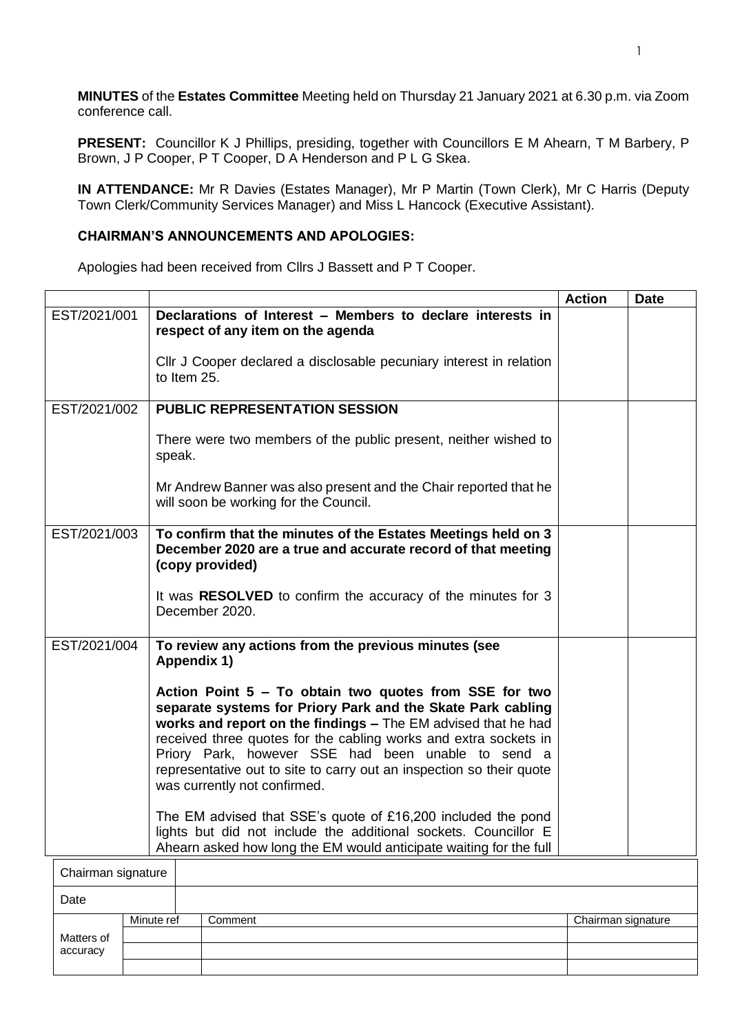**MINUTES** of the **Estates Committee** Meeting held on Thursday 21 January 2021 at 6.30 p.m. via Zoom conference call.

**PRESENT:** Councillor K J Phillips, presiding, together with Councillors E M Ahearn, T M Barbery, P Brown, J P Cooper, P T Cooper, D A Henderson and P L G Skea.

**IN ATTENDANCE:** Mr R Davies (Estates Manager), Mr P Martin (Town Clerk), Mr C Harris (Deputy Town Clerk/Community Services Manager) and Miss L Hancock (Executive Assistant).

## **CHAIRMAN'S ANNOUNCEMENTS AND APOLOGIES:**

Apologies had been received from Cllrs J Bassett and P T Cooper.

|                    |                                                                                                                                                                                                                                                                                                                                                                                                                          | <b>Action</b> | <b>Date</b> |
|--------------------|--------------------------------------------------------------------------------------------------------------------------------------------------------------------------------------------------------------------------------------------------------------------------------------------------------------------------------------------------------------------------------------------------------------------------|---------------|-------------|
| EST/2021/001       | Declarations of Interest - Members to declare interests in<br>respect of any item on the agenda                                                                                                                                                                                                                                                                                                                          |               |             |
|                    | CIIr J Cooper declared a disclosable pecuniary interest in relation<br>to Item 25.                                                                                                                                                                                                                                                                                                                                       |               |             |
| EST/2021/002       | <b>PUBLIC REPRESENTATION SESSION</b>                                                                                                                                                                                                                                                                                                                                                                                     |               |             |
|                    | There were two members of the public present, neither wished to<br>speak.                                                                                                                                                                                                                                                                                                                                                |               |             |
|                    | Mr Andrew Banner was also present and the Chair reported that he<br>will soon be working for the Council.                                                                                                                                                                                                                                                                                                                |               |             |
| EST/2021/003       | To confirm that the minutes of the Estates Meetings held on 3<br>December 2020 are a true and accurate record of that meeting<br>(copy provided)                                                                                                                                                                                                                                                                         |               |             |
|                    | It was RESOLVED to confirm the accuracy of the minutes for 3<br>December 2020.                                                                                                                                                                                                                                                                                                                                           |               |             |
| EST/2021/004       | To review any actions from the previous minutes (see<br>Appendix 1)                                                                                                                                                                                                                                                                                                                                                      |               |             |
|                    | Action Point 5 - To obtain two quotes from SSE for two<br>separate systems for Priory Park and the Skate Park cabling<br>works and report on the findings - The EM advised that he had<br>received three quotes for the cabling works and extra sockets in<br>Priory Park, however SSE had been unable to send a<br>representative out to site to carry out an inspection so their quote<br>was currently not confirmed. |               |             |
|                    | The EM advised that SSE's quote of £16,200 included the pond<br>lights but did not include the additional sockets. Councillor E<br>Ahearn asked how long the EM would anticipate waiting for the full                                                                                                                                                                                                                    |               |             |
| Chairman signature |                                                                                                                                                                                                                                                                                                                                                                                                                          |               |             |
| Date               |                                                                                                                                                                                                                                                                                                                                                                                                                          |               |             |
|                    |                                                                                                                                                                                                                                                                                                                                                                                                                          |               |             |

| Paw                    |            |         |                    |
|------------------------|------------|---------|--------------------|
|                        | Minute ref | Comment | Chairman signature |
| Matters of<br>accuracy |            |         |                    |
|                        |            |         |                    |
|                        |            |         |                    |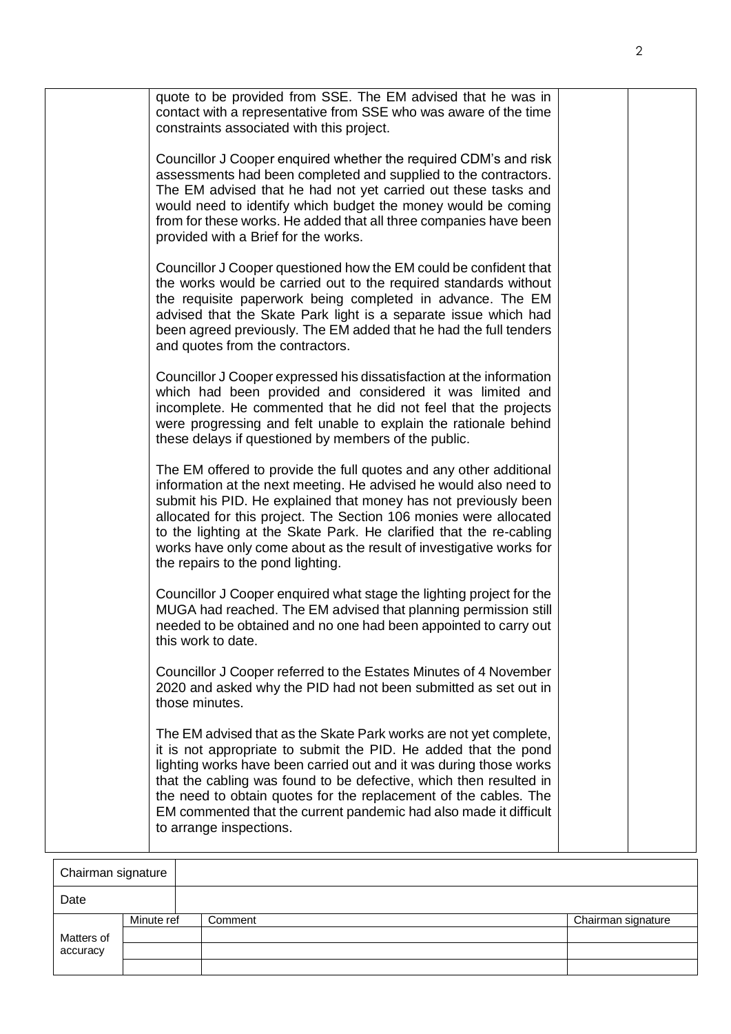| quote to be provided from SSE. The EM advised that he was in<br>contact with a representative from SSE who was aware of the time<br>constraints associated with this project.                                                                                                                                                                                                                                                                                      |  |
|--------------------------------------------------------------------------------------------------------------------------------------------------------------------------------------------------------------------------------------------------------------------------------------------------------------------------------------------------------------------------------------------------------------------------------------------------------------------|--|
| Councillor J Cooper enquired whether the required CDM's and risk<br>assessments had been completed and supplied to the contractors.<br>The EM advised that he had not yet carried out these tasks and<br>would need to identify which budget the money would be coming<br>from for these works. He added that all three companies have been<br>provided with a Brief for the works.                                                                                |  |
| Councillor J Cooper questioned how the EM could be confident that<br>the works would be carried out to the required standards without<br>the requisite paperwork being completed in advance. The EM<br>advised that the Skate Park light is a separate issue which had<br>been agreed previously. The EM added that he had the full tenders<br>and quotes from the contractors.                                                                                    |  |
| Councillor J Cooper expressed his dissatisfaction at the information<br>which had been provided and considered it was limited and<br>incomplete. He commented that he did not feel that the projects<br>were progressing and felt unable to explain the rationale behind<br>these delays if questioned by members of the public.                                                                                                                                   |  |
| The EM offered to provide the full quotes and any other additional<br>information at the next meeting. He advised he would also need to<br>submit his PID. He explained that money has not previously been<br>allocated for this project. The Section 106 monies were allocated<br>to the lighting at the Skate Park. He clarified that the re-cabling<br>works have only come about as the result of investigative works for<br>the repairs to the pond lighting. |  |
| Councillor J Cooper enquired what stage the lighting project for the<br>MUGA had reached. The EM advised that planning permission still<br>needed to be obtained and no one had been appointed to carry out<br>this work to date.                                                                                                                                                                                                                                  |  |
| Councillor J Cooper referred to the Estates Minutes of 4 November<br>2020 and asked why the PID had not been submitted as set out in<br>those minutes.                                                                                                                                                                                                                                                                                                             |  |
| The EM advised that as the Skate Park works are not yet complete,<br>it is not appropriate to submit the PID. He added that the pond<br>lighting works have been carried out and it was during those works<br>that the cabling was found to be defective, which then resulted in<br>the need to obtain quotes for the replacement of the cables. The<br>EM commented that the current pandemic had also made it difficult<br>to arrange inspections.               |  |

| Chairman signature |            |         |                    |  |  |
|--------------------|------------|---------|--------------------|--|--|
| Date               |            |         |                    |  |  |
|                    | Minute ref | Comment | Chairman signature |  |  |
| Matters of         |            |         |                    |  |  |
| accuracy           |            |         |                    |  |  |
|                    |            |         |                    |  |  |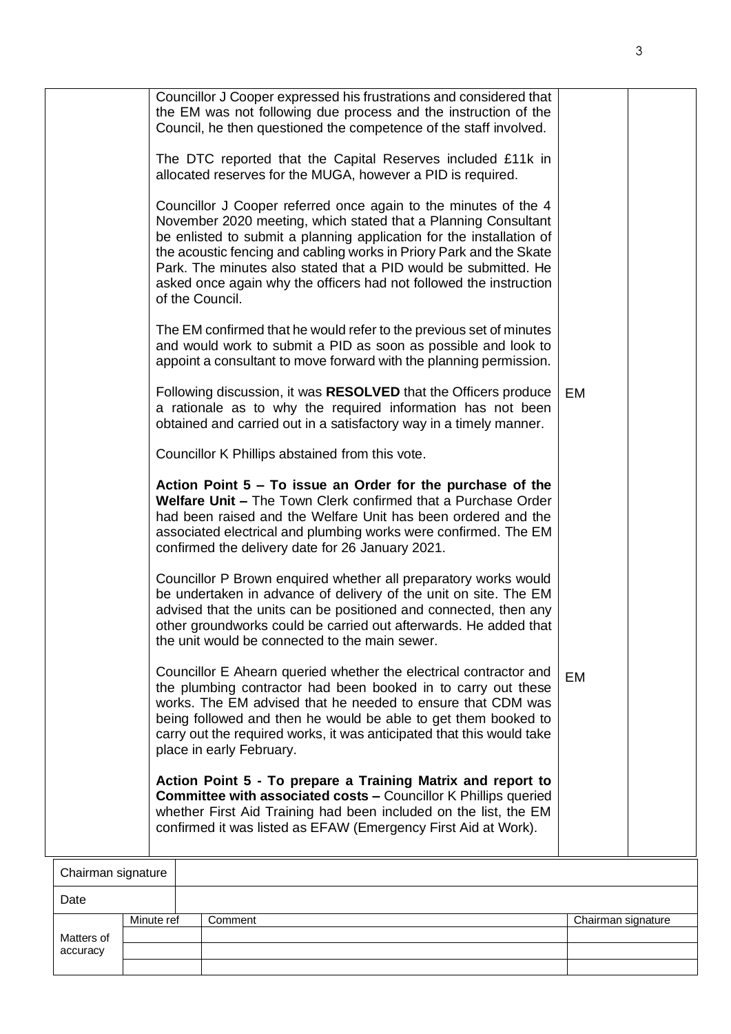|                    |            | Councillor J Cooper expressed his frustrations and considered that<br>the EM was not following due process and the instruction of the<br>Council, he then questioned the competence of the staff involved.                                                                                                                                                                                                                                   |                    |  |
|--------------------|------------|----------------------------------------------------------------------------------------------------------------------------------------------------------------------------------------------------------------------------------------------------------------------------------------------------------------------------------------------------------------------------------------------------------------------------------------------|--------------------|--|
|                    |            | The DTC reported that the Capital Reserves included £11k in<br>allocated reserves for the MUGA, however a PID is required.                                                                                                                                                                                                                                                                                                                   |                    |  |
|                    |            | Councillor J Cooper referred once again to the minutes of the 4<br>November 2020 meeting, which stated that a Planning Consultant<br>be enlisted to submit a planning application for the installation of<br>the acoustic fencing and cabling works in Priory Park and the Skate<br>Park. The minutes also stated that a PID would be submitted. He<br>asked once again why the officers had not followed the instruction<br>of the Council. |                    |  |
|                    |            | The EM confirmed that he would refer to the previous set of minutes<br>and would work to submit a PID as soon as possible and look to<br>appoint a consultant to move forward with the planning permission.                                                                                                                                                                                                                                  |                    |  |
|                    |            | Following discussion, it was RESOLVED that the Officers produce<br>a rationale as to why the required information has not been<br>obtained and carried out in a satisfactory way in a timely manner.                                                                                                                                                                                                                                         | EM                 |  |
|                    |            | Councillor K Phillips abstained from this vote.                                                                                                                                                                                                                                                                                                                                                                                              |                    |  |
|                    |            | Action Point $5 - To$ issue an Order for the purchase of the<br>Welfare Unit - The Town Clerk confirmed that a Purchase Order<br>had been raised and the Welfare Unit has been ordered and the<br>associated electrical and plumbing works were confirmed. The EM<br>confirmed the delivery date for 26 January 2021.                                                                                                                        |                    |  |
|                    |            | Councillor P Brown enquired whether all preparatory works would<br>be undertaken in advance of delivery of the unit on site. The EM<br>advised that the units can be positioned and connected, then any<br>other groundworks could be carried out afterwards. He added that<br>the unit would be connected to the main sewer.                                                                                                                |                    |  |
|                    |            | Councillor E Ahearn queried whether the electrical contractor and<br>the plumbing contractor had been booked in to carry out these<br>works. The EM advised that he needed to ensure that CDM was<br>being followed and then he would be able to get them booked to<br>carry out the required works, it was anticipated that this would take<br>place in early February.                                                                     | EM                 |  |
|                    |            | Action Point 5 - To prepare a Training Matrix and report to<br><b>Committee with associated costs - Councillor K Phillips queried</b><br>whether First Aid Training had been included on the list, the EM<br>confirmed it was listed as EFAW (Emergency First Aid at Work).                                                                                                                                                                  |                    |  |
| Chairman signature |            |                                                                                                                                                                                                                                                                                                                                                                                                                                              |                    |  |
| Date               |            |                                                                                                                                                                                                                                                                                                                                                                                                                                              |                    |  |
| Matters of         | Minute ref | Comment                                                                                                                                                                                                                                                                                                                                                                                                                                      | Chairman signature |  |
| accuracy           |            |                                                                                                                                                                                                                                                                                                                                                                                                                                              |                    |  |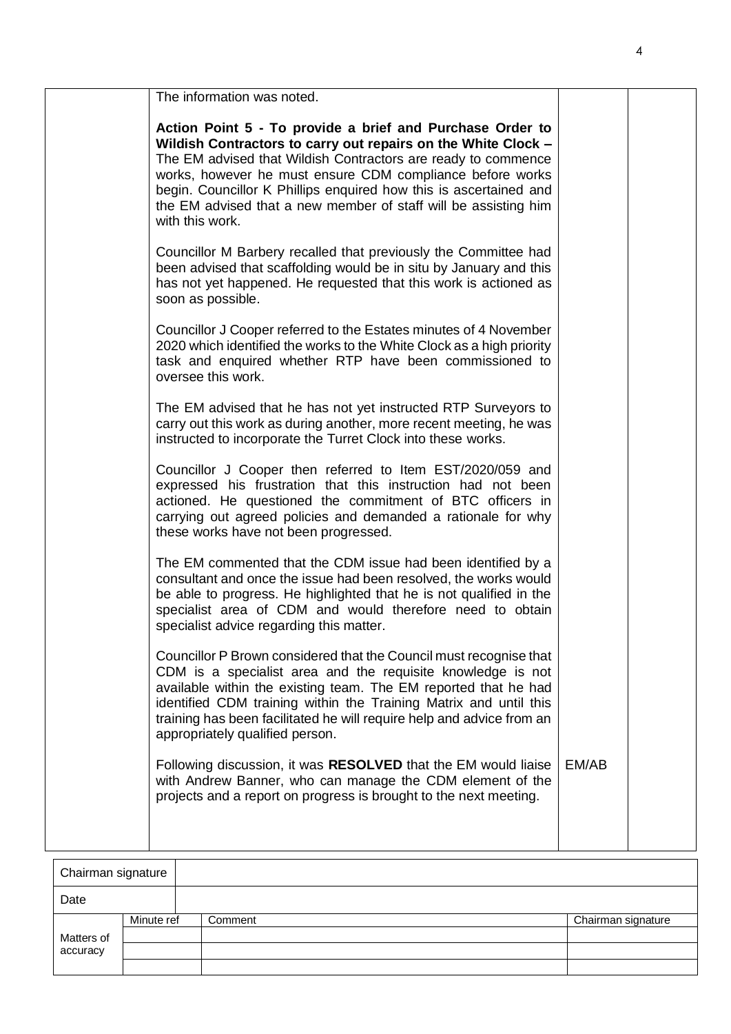|                 | The information was noted.                                                                                                                                                                                                                                                                                                                                                                       |       |  |
|-----------------|--------------------------------------------------------------------------------------------------------------------------------------------------------------------------------------------------------------------------------------------------------------------------------------------------------------------------------------------------------------------------------------------------|-------|--|
| with this work. | Action Point 5 - To provide a brief and Purchase Order to<br>Wildish Contractors to carry out repairs on the White Clock -<br>The EM advised that Wildish Contractors are ready to commence<br>works, however he must ensure CDM compliance before works<br>begin. Councillor K Phillips enquired how this is ascertained and<br>the EM advised that a new member of staff will be assisting him |       |  |
|                 | Councillor M Barbery recalled that previously the Committee had<br>been advised that scaffolding would be in situ by January and this<br>has not yet happened. He requested that this work is actioned as<br>soon as possible.                                                                                                                                                                   |       |  |
|                 | Councillor J Cooper referred to the Estates minutes of 4 November<br>2020 which identified the works to the White Clock as a high priority<br>task and enquired whether RTP have been commissioned to<br>oversee this work.                                                                                                                                                                      |       |  |
|                 | The EM advised that he has not yet instructed RTP Surveyors to<br>carry out this work as during another, more recent meeting, he was<br>instructed to incorporate the Turret Clock into these works.                                                                                                                                                                                             |       |  |
|                 | Councillor J Cooper then referred to Item EST/2020/059 and<br>expressed his frustration that this instruction had not been<br>actioned. He questioned the commitment of BTC officers in<br>carrying out agreed policies and demanded a rationale for why<br>these works have not been progressed.                                                                                                |       |  |
|                 | The EM commented that the CDM issue had been identified by a<br>consultant and once the issue had been resolved, the works would<br>be able to progress. He highlighted that he is not qualified in the<br>specialist area of CDM and would therefore need to obtain<br>specialist advice regarding this matter.                                                                                 |       |  |
|                 | Councillor P Brown considered that the Council must recognise that<br>CDM is a specialist area and the requisite knowledge is not<br>available within the existing team. The EM reported that he had<br>identified CDM training within the Training Matrix and until this<br>training has been facilitated he will require help and advice from an<br>appropriately qualified person.            |       |  |
|                 | Following discussion, it was RESOLVED that the EM would liaise<br>with Andrew Banner, who can manage the CDM element of the<br>projects and a report on progress is brought to the next meeting.                                                                                                                                                                                                 | EM/AB |  |
| Chairman cian   |                                                                                                                                                                                                                                                                                                                                                                                                  |       |  |

| Chairman signature |            |         |                    |  |
|--------------------|------------|---------|--------------------|--|
| Date               |            |         |                    |  |
|                    | Minute ref | Comment | Chairman signature |  |
| Matters of         |            |         |                    |  |
| accuracy           |            |         |                    |  |
|                    |            |         |                    |  |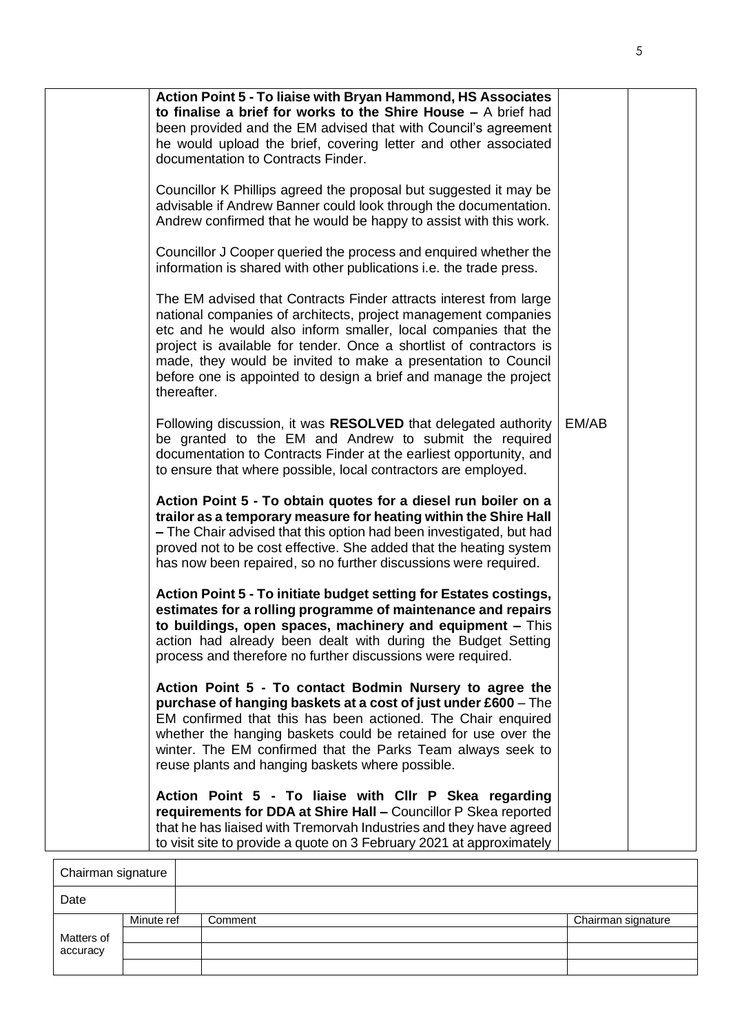| Action Point 5 - To liaise with Bryan Hammond, HS Associates<br>to finalise a brief for works to the Shire House $-$ A brief had<br>been provided and the EM advised that with Council's agreement<br>he would upload the brief, covering letter and other associated<br>documentation to Contracts Finder.<br>Councillor K Phillips agreed the proposal but suggested it may be<br>advisable if Andrew Banner could look through the documentation.<br>Andrew confirmed that he would be happy to assist with this work.<br>Councillor J Cooper queried the process and enquired whether the<br>information is shared with other publications i.e. the trade press.<br>The EM advised that Contracts Finder attracts interest from large<br>national companies of architects, project management companies<br>etc and he would also inform smaller, local companies that the<br>project is available for tender. Once a shortlist of contractors is<br>made, they would be invited to make a presentation to Council<br>before one is appointed to design a brief and manage the project<br>thereafter.<br>Following discussion, it was RESOLVED that delegated authority<br>be granted to the EM and Andrew to submit the required<br>documentation to Contracts Finder at the earliest opportunity, and<br>to ensure that where possible, local contractors are employed.<br>Action Point 5 - To obtain quotes for a diesel run boiler on a<br>trailor as a temporary measure for heating within the Shire Hall<br>- The Chair advised that this option had been investigated, but had<br>proved not to be cost effective. She added that the heating system<br>has now been repaired, so no further discussions were required.<br>Action Point 5 - To initiate budget setting for Estates costings,<br>estimates for a rolling programme of maintenance and repairs<br>to buildings, open spaces, machinery and equipment - This<br>action had already been dealt with during the Budget Setting<br>process and therefore no further discussions were required.<br>Action Point 5 - To contact Bodmin Nursery to agree the<br>purchase of hanging baskets at a cost of just under £600 – The<br>EM confirmed that this has been actioned. The Chair enquired<br>whether the hanging baskets could be retained for use over the<br>winter. The EM confirmed that the Parks Team always seek to<br>reuse plants and hanging baskets where possible.<br>Action Point 5 - To liaise with Cllr P Skea regarding<br>requirements for DDA at Shire Hall - Councillor P Skea reported<br>that he has liaised with Tremorvah Industries and they have agreed<br>to visit site to provide a quote on 3 February 2021 at approximately | EM/AB |  |
|---------------------------------------------------------------------------------------------------------------------------------------------------------------------------------------------------------------------------------------------------------------------------------------------------------------------------------------------------------------------------------------------------------------------------------------------------------------------------------------------------------------------------------------------------------------------------------------------------------------------------------------------------------------------------------------------------------------------------------------------------------------------------------------------------------------------------------------------------------------------------------------------------------------------------------------------------------------------------------------------------------------------------------------------------------------------------------------------------------------------------------------------------------------------------------------------------------------------------------------------------------------------------------------------------------------------------------------------------------------------------------------------------------------------------------------------------------------------------------------------------------------------------------------------------------------------------------------------------------------------------------------------------------------------------------------------------------------------------------------------------------------------------------------------------------------------------------------------------------------------------------------------------------------------------------------------------------------------------------------------------------------------------------------------------------------------------------------------------------------------------------------------------------------------------------------------------------------------------------------------------------------------------------------------------------------------------------------------------------------------------------------------------------------------------------------------------------------------------------------------------------------------------------------------------------------------------------------------------------------------------------------------------------------------------------------------------------------------------------|-------|--|
|---------------------------------------------------------------------------------------------------------------------------------------------------------------------------------------------------------------------------------------------------------------------------------------------------------------------------------------------------------------------------------------------------------------------------------------------------------------------------------------------------------------------------------------------------------------------------------------------------------------------------------------------------------------------------------------------------------------------------------------------------------------------------------------------------------------------------------------------------------------------------------------------------------------------------------------------------------------------------------------------------------------------------------------------------------------------------------------------------------------------------------------------------------------------------------------------------------------------------------------------------------------------------------------------------------------------------------------------------------------------------------------------------------------------------------------------------------------------------------------------------------------------------------------------------------------------------------------------------------------------------------------------------------------------------------------------------------------------------------------------------------------------------------------------------------------------------------------------------------------------------------------------------------------------------------------------------------------------------------------------------------------------------------------------------------------------------------------------------------------------------------------------------------------------------------------------------------------------------------------------------------------------------------------------------------------------------------------------------------------------------------------------------------------------------------------------------------------------------------------------------------------------------------------------------------------------------------------------------------------------------------------------------------------------------------------------------------------------------------|-------|--|

| Chairman signature |            |         |                    |
|--------------------|------------|---------|--------------------|
| Date               |            |         |                    |
|                    | Minute ref | Comment | Chairman signature |
| Matters of         |            |         |                    |
| accuracy           |            |         |                    |
|                    |            |         |                    |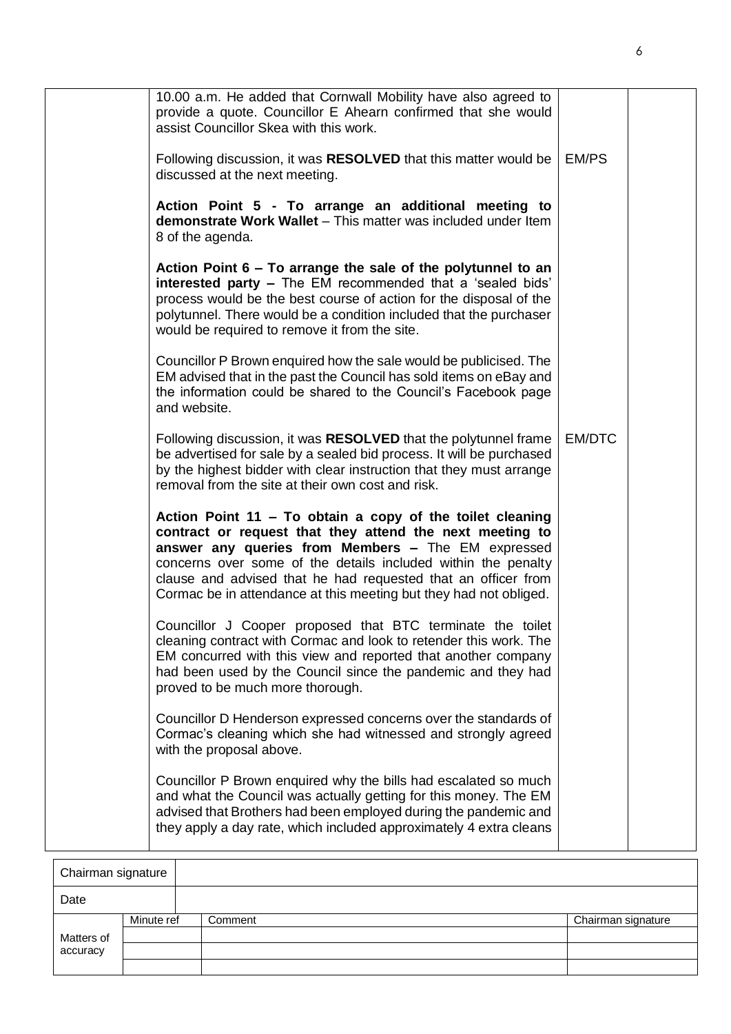|                    | 10.00 a.m. He added that Cornwall Mobility have also agreed to<br>provide a quote. Councillor E Ahearn confirmed that she would<br>assist Councillor Skea with this work.                                                                                                                                                                                                          |        |  |
|--------------------|------------------------------------------------------------------------------------------------------------------------------------------------------------------------------------------------------------------------------------------------------------------------------------------------------------------------------------------------------------------------------------|--------|--|
|                    | Following discussion, it was RESOLVED that this matter would be<br>discussed at the next meeting.                                                                                                                                                                                                                                                                                  | EM/PS  |  |
|                    | Action Point 5 - To arrange an additional meeting to<br>demonstrate Work Wallet - This matter was included under Item<br>8 of the agenda.                                                                                                                                                                                                                                          |        |  |
|                    | Action Point 6 – To arrange the sale of the polytunnel to an<br>interested party - The EM recommended that a 'sealed bids'<br>process would be the best course of action for the disposal of the<br>polytunnel. There would be a condition included that the purchaser<br>would be required to remove it from the site.                                                            |        |  |
|                    | Councillor P Brown enquired how the sale would be publicised. The<br>EM advised that in the past the Council has sold items on eBay and<br>the information could be shared to the Council's Facebook page<br>and website.                                                                                                                                                          |        |  |
|                    | Following discussion, it was RESOLVED that the polytunnel frame<br>be advertised for sale by a sealed bid process. It will be purchased<br>by the highest bidder with clear instruction that they must arrange<br>removal from the site at their own cost and risk.                                                                                                                | EM/DTC |  |
|                    | Action Point 11 - To obtain a copy of the toilet cleaning<br>contract or request that they attend the next meeting to<br>answer any queries from Members - The EM expressed<br>concerns over some of the details included within the penalty<br>clause and advised that he had requested that an officer from<br>Cormac be in attendance at this meeting but they had not obliged. |        |  |
|                    | Councillor J Cooper proposed that BTC terminate the toilet<br>cleaning contract with Cormac and look to retender this work. The<br>EM concurred with this view and reported that another company<br>had been used by the Council since the pandemic and they had<br>proved to be much more thorough.                                                                               |        |  |
|                    | Councillor D Henderson expressed concerns over the standards of<br>Cormac's cleaning which she had witnessed and strongly agreed<br>with the proposal above.                                                                                                                                                                                                                       |        |  |
|                    | Councillor P Brown enquired why the bills had escalated so much<br>and what the Council was actually getting for this money. The EM<br>advised that Brothers had been employed during the pandemic and<br>they apply a day rate, which included approximately 4 extra cleans                                                                                                       |        |  |
| Chairman signature |                                                                                                                                                                                                                                                                                                                                                                                    |        |  |
|                    |                                                                                                                                                                                                                                                                                                                                                                                    |        |  |

| Chairman signature |            |         |                    |
|--------------------|------------|---------|--------------------|
| Date               |            |         |                    |
|                    | Minute ref | Comment | Chairman signature |
| Matters of         |            |         |                    |
| accuracy           |            |         |                    |
|                    |            |         |                    |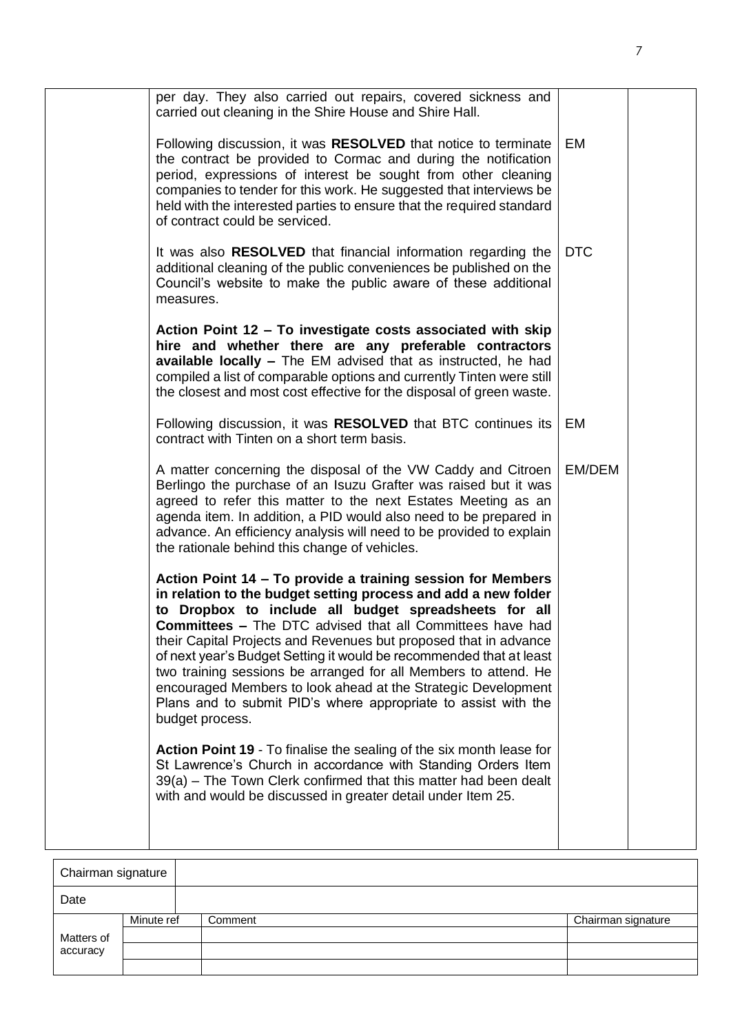| per day. They also carried out repairs, covered sickness and<br>carried out cleaning in the Shire House and Shire Hall.                                                                                                                                                                                                                                                                                                                                                                                                                                                                                                        |            |  |
|--------------------------------------------------------------------------------------------------------------------------------------------------------------------------------------------------------------------------------------------------------------------------------------------------------------------------------------------------------------------------------------------------------------------------------------------------------------------------------------------------------------------------------------------------------------------------------------------------------------------------------|------------|--|
| Following discussion, it was RESOLVED that notice to terminate<br>the contract be provided to Cormac and during the notification<br>period, expressions of interest be sought from other cleaning<br>companies to tender for this work. He suggested that interviews be<br>held with the interested parties to ensure that the required standard<br>of contract could be serviced.                                                                                                                                                                                                                                             | EM         |  |
| It was also RESOLVED that financial information regarding the<br>additional cleaning of the public conveniences be published on the<br>Council's website to make the public aware of these additional<br>measures.                                                                                                                                                                                                                                                                                                                                                                                                             | <b>DTC</b> |  |
| Action Point 12 - To investigate costs associated with skip<br>hire and whether there are any preferable contractors<br>available locally - The EM advised that as instructed, he had<br>compiled a list of comparable options and currently Tinten were still<br>the closest and most cost effective for the disposal of green waste.                                                                                                                                                                                                                                                                                         |            |  |
| Following discussion, it was RESOLVED that BTC continues its<br>contract with Tinten on a short term basis.                                                                                                                                                                                                                                                                                                                                                                                                                                                                                                                    | EM         |  |
| A matter concerning the disposal of the VW Caddy and Citroen<br>Berlingo the purchase of an Isuzu Grafter was raised but it was<br>agreed to refer this matter to the next Estates Meeting as an<br>agenda item. In addition, a PID would also need to be prepared in<br>advance. An efficiency analysis will need to be provided to explain<br>the rationale behind this change of vehicles.                                                                                                                                                                                                                                  | EM/DEM     |  |
| Action Point 14 – To provide a training session for Members<br>in relation to the budget setting process and add a new folder<br>to Dropbox to include all budget spreadsheets for all<br><b>Committees - The DTC advised that all Committees have had</b><br>their Capital Projects and Revenues but proposed that in advance<br>of next year's Budget Setting it would be recommended that at least<br>two training sessions be arranged for all Members to attend. He<br>encouraged Members to look ahead at the Strategic Development<br>Plans and to submit PID's where appropriate to assist with the<br>budget process. |            |  |
| Action Point 19 - To finalise the sealing of the six month lease for<br>St Lawrence's Church in accordance with Standing Orders Item<br>39(a) – The Town Clerk confirmed that this matter had been dealt<br>with and would be discussed in greater detail under Item 25.                                                                                                                                                                                                                                                                                                                                                       |            |  |

| Chairman signature     |            |         |                    |  |
|------------------------|------------|---------|--------------------|--|
| Date                   |            |         |                    |  |
| Matters of<br>accuracy | Minute ref | Comment | Chairman signature |  |
|                        |            |         |                    |  |
|                        |            |         |                    |  |
|                        |            |         |                    |  |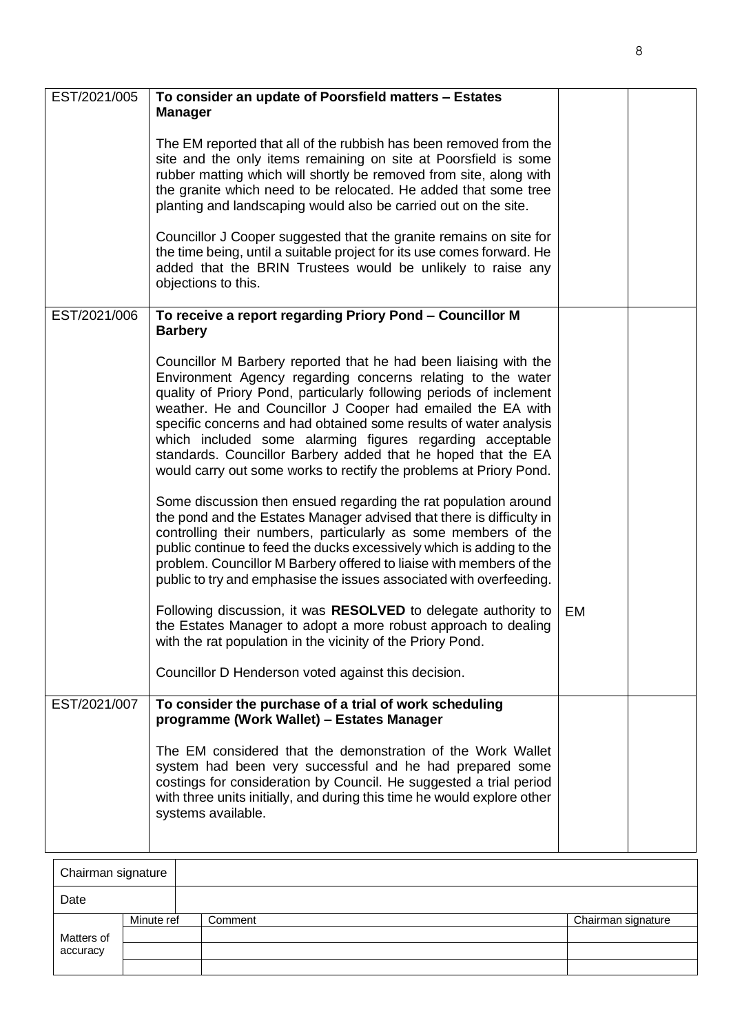| EST/2021/005 | To consider an update of Poorsfield matters - Estates<br><b>Manager</b>                                                                                                                                                                                                                                                                                                                                                                                                                                                                        |    |  |
|--------------|------------------------------------------------------------------------------------------------------------------------------------------------------------------------------------------------------------------------------------------------------------------------------------------------------------------------------------------------------------------------------------------------------------------------------------------------------------------------------------------------------------------------------------------------|----|--|
|              | The EM reported that all of the rubbish has been removed from the<br>site and the only items remaining on site at Poorsfield is some<br>rubber matting which will shortly be removed from site, along with<br>the granite which need to be relocated. He added that some tree<br>planting and landscaping would also be carried out on the site.                                                                                                                                                                                               |    |  |
|              | Councillor J Cooper suggested that the granite remains on site for<br>the time being, until a suitable project for its use comes forward. He<br>added that the BRIN Trustees would be unlikely to raise any<br>objections to this.                                                                                                                                                                                                                                                                                                             |    |  |
| EST/2021/006 | To receive a report regarding Priory Pond - Councillor M<br><b>Barbery</b>                                                                                                                                                                                                                                                                                                                                                                                                                                                                     |    |  |
|              | Councillor M Barbery reported that he had been liaising with the<br>Environment Agency regarding concerns relating to the water<br>quality of Priory Pond, particularly following periods of inclement<br>weather. He and Councillor J Cooper had emailed the EA with<br>specific concerns and had obtained some results of water analysis<br>which included some alarming figures regarding acceptable<br>standards. Councillor Barbery added that he hoped that the EA<br>would carry out some works to rectify the problems at Priory Pond. |    |  |
|              | Some discussion then ensued regarding the rat population around<br>the pond and the Estates Manager advised that there is difficulty in<br>controlling their numbers, particularly as some members of the<br>public continue to feed the ducks excessively which is adding to the<br>problem. Councillor M Barbery offered to liaise with members of the<br>public to try and emphasise the issues associated with overfeeding.                                                                                                                |    |  |
|              | Following discussion, it was RESOLVED to delegate authority to<br>the Estates Manager to adopt a more robust approach to dealing<br>with the rat population in the vicinity of the Priory Pond.<br>Councillor D Henderson voted against this decision.                                                                                                                                                                                                                                                                                         | EM |  |
| EST/2021/007 | To consider the purchase of a trial of work scheduling<br>programme (Work Wallet) - Estates Manager                                                                                                                                                                                                                                                                                                                                                                                                                                            |    |  |
|              | The EM considered that the demonstration of the Work Wallet<br>system had been very successful and he had prepared some<br>costings for consideration by Council. He suggested a trial period<br>with three units initially, and during this time he would explore other<br>systems available.                                                                                                                                                                                                                                                 |    |  |

| Chairman signature |            |         |  |                    |
|--------------------|------------|---------|--|--------------------|
| Date               |            |         |  |                    |
|                    | Minute ref | Comment |  | Chairman signature |
| Matters of         |            |         |  |                    |
| accuracy           |            |         |  |                    |
|                    |            |         |  |                    |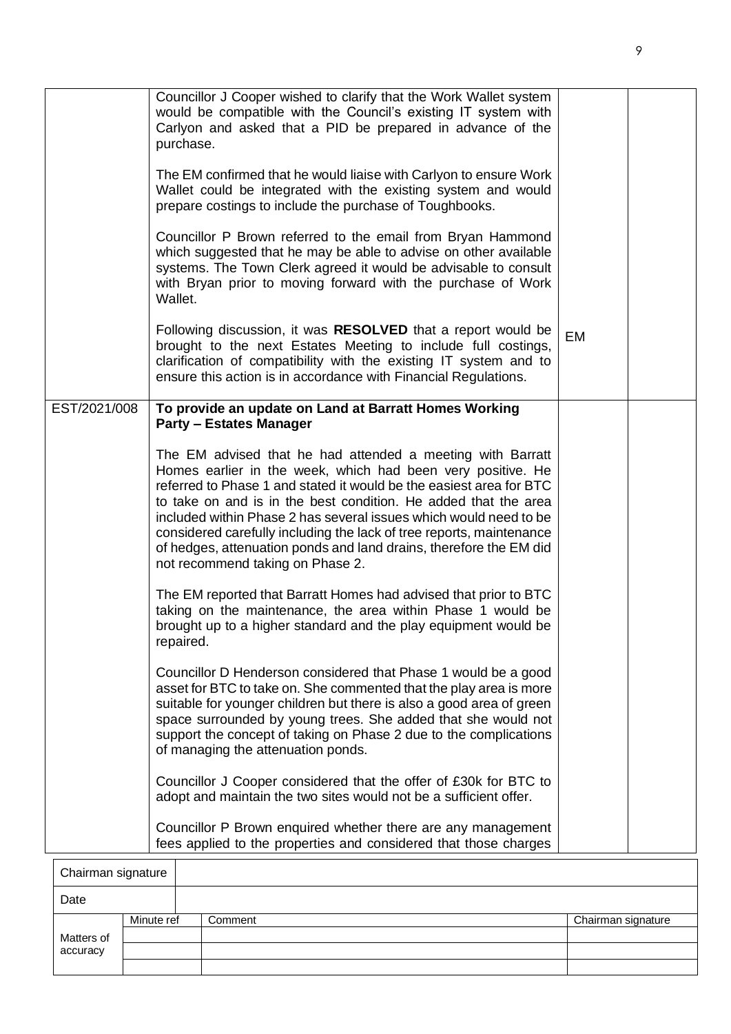|                                    | Councillor J Cooper wished to clarify that the Work Wallet system<br>would be compatible with the Council's existing IT system with<br>Carlyon and asked that a PID be prepared in advance of the<br>purchase.<br>The EM confirmed that he would liaise with Carlyon to ensure Work<br>Wallet could be integrated with the existing system and would<br>prepare costings to include the purchase of Toughbooks.<br>Councillor P Brown referred to the email from Bryan Hammond                                             |    |  |
|------------------------------------|----------------------------------------------------------------------------------------------------------------------------------------------------------------------------------------------------------------------------------------------------------------------------------------------------------------------------------------------------------------------------------------------------------------------------------------------------------------------------------------------------------------------------|----|--|
|                                    | which suggested that he may be able to advise on other available<br>systems. The Town Clerk agreed it would be advisable to consult<br>with Bryan prior to moving forward with the purchase of Work<br>Wallet.                                                                                                                                                                                                                                                                                                             |    |  |
|                                    | Following discussion, it was RESOLVED that a report would be<br>brought to the next Estates Meeting to include full costings,<br>clarification of compatibility with the existing IT system and to<br>ensure this action is in accordance with Financial Regulations.                                                                                                                                                                                                                                                      | EM |  |
| EST/2021/008                       | To provide an update on Land at Barratt Homes Working<br><b>Party - Estates Manager</b>                                                                                                                                                                                                                                                                                                                                                                                                                                    |    |  |
|                                    | The EM advised that he had attended a meeting with Barratt<br>Homes earlier in the week, which had been very positive. He<br>referred to Phase 1 and stated it would be the easiest area for BTC<br>to take on and is in the best condition. He added that the area<br>included within Phase 2 has several issues which would need to be<br>considered carefully including the lack of tree reports, maintenance<br>of hedges, attenuation ponds and land drains, therefore the EM did<br>not recommend taking on Phase 2. |    |  |
|                                    | The EM reported that Barratt Homes had advised that prior to BTC<br>taking on the maintenance, the area within Phase 1 would be<br>brought up to a higher standard and the play equipment would be<br>repaired.                                                                                                                                                                                                                                                                                                            |    |  |
|                                    | Councillor D Henderson considered that Phase 1 would be a good<br>asset for BTC to take on. She commented that the play area is more<br>suitable for younger children but there is also a good area of green<br>space surrounded by young trees. She added that she would not<br>support the concept of taking on Phase 2 due to the complications<br>of managing the attenuation ponds.                                                                                                                                   |    |  |
|                                    | Councillor J Cooper considered that the offer of £30k for BTC to<br>adopt and maintain the two sites would not be a sufficient offer.                                                                                                                                                                                                                                                                                                                                                                                      |    |  |
|                                    | Councillor P Brown enquired whether there are any management<br>fees applied to the properties and considered that those charges                                                                                                                                                                                                                                                                                                                                                                                           |    |  |
| $^\circ$ hoirmon oignotur $^\circ$ |                                                                                                                                                                                                                                                                                                                                                                                                                                                                                                                            |    |  |

| Chairman signature |            |         |                    |
|--------------------|------------|---------|--------------------|
| Date               |            |         |                    |
|                    | Minute ref | Comment | Chairman signature |
| Matters of         |            |         |                    |
| accuracy           |            |         |                    |
|                    |            |         |                    |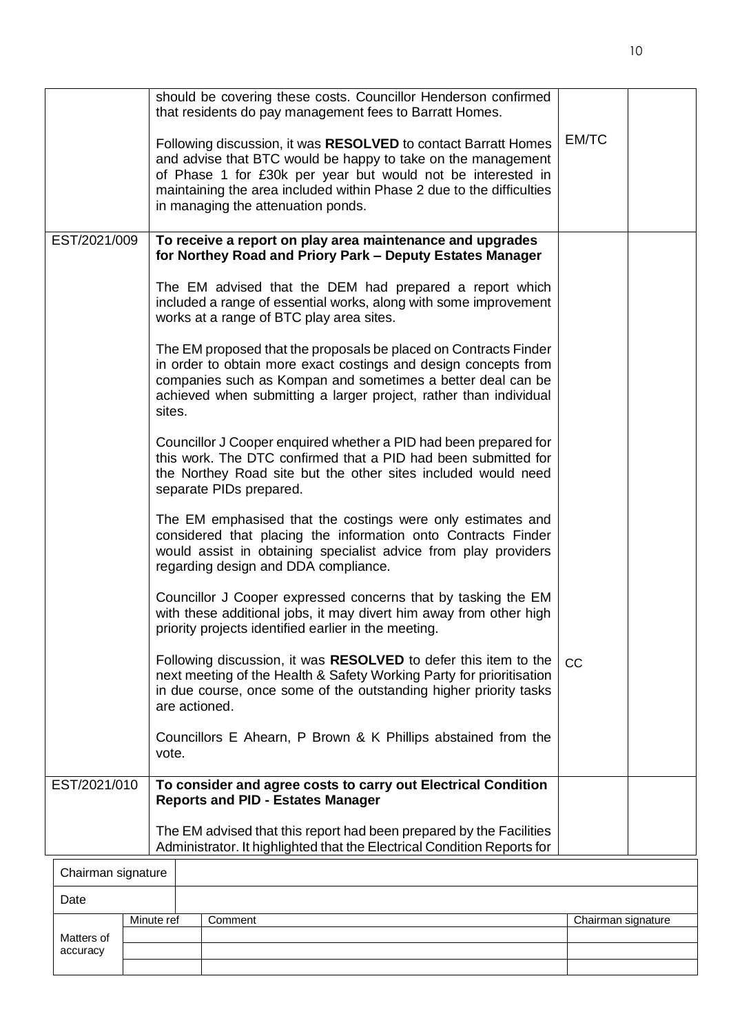|                    |            | should be covering these costs. Councillor Henderson confirmed<br>that residents do pay management fees to Barratt Homes.                                                                                                                                                                                   |                    |  |
|--------------------|------------|-------------------------------------------------------------------------------------------------------------------------------------------------------------------------------------------------------------------------------------------------------------------------------------------------------------|--------------------|--|
|                    |            | Following discussion, it was RESOLVED to contact Barratt Homes<br>and advise that BTC would be happy to take on the management<br>of Phase 1 for £30k per year but would not be interested in<br>maintaining the area included within Phase 2 due to the difficulties<br>in managing the attenuation ponds. | EM/TC              |  |
| EST/2021/009       |            | To receive a report on play area maintenance and upgrades<br>for Northey Road and Priory Park - Deputy Estates Manager                                                                                                                                                                                      |                    |  |
|                    |            | The EM advised that the DEM had prepared a report which<br>included a range of essential works, along with some improvement<br>works at a range of BTC play area sites.                                                                                                                                     |                    |  |
|                    | sites.     | The EM proposed that the proposals be placed on Contracts Finder<br>in order to obtain more exact costings and design concepts from<br>companies such as Kompan and sometimes a better deal can be<br>achieved when submitting a larger project, rather than individual                                     |                    |  |
|                    |            | Councillor J Cooper enquired whether a PID had been prepared for<br>this work. The DTC confirmed that a PID had been submitted for<br>the Northey Road site but the other sites included would need<br>separate PIDs prepared.                                                                              |                    |  |
|                    |            | The EM emphasised that the costings were only estimates and<br>considered that placing the information onto Contracts Finder<br>would assist in obtaining specialist advice from play providers<br>regarding design and DDA compliance.                                                                     |                    |  |
|                    |            | Councillor J Cooper expressed concerns that by tasking the EM<br>with these additional jobs, it may divert him away from other high<br>priority projects identified earlier in the meeting.                                                                                                                 |                    |  |
|                    |            | Following discussion, it was RESOLVED to defer this item to the<br>next meeting of the Health & Safety Working Party for prioritisation<br>in due course, once some of the outstanding higher priority tasks<br>are actioned.                                                                               | <b>CC</b>          |  |
|                    | vote.      | Councillors E Ahearn, P Brown & K Phillips abstained from the                                                                                                                                                                                                                                               |                    |  |
| EST/2021/010       |            | To consider and agree costs to carry out Electrical Condition<br><b>Reports and PID - Estates Manager</b>                                                                                                                                                                                                   |                    |  |
|                    |            | The EM advised that this report had been prepared by the Facilities<br>Administrator. It highlighted that the Electrical Condition Reports for                                                                                                                                                              |                    |  |
| Chairman signature |            |                                                                                                                                                                                                                                                                                                             |                    |  |
| Date               |            |                                                                                                                                                                                                                                                                                                             |                    |  |
| Matters of         | Minute ref | Comment                                                                                                                                                                                                                                                                                                     | Chairman signature |  |
|                    |            |                                                                                                                                                                                                                                                                                                             |                    |  |

accuracy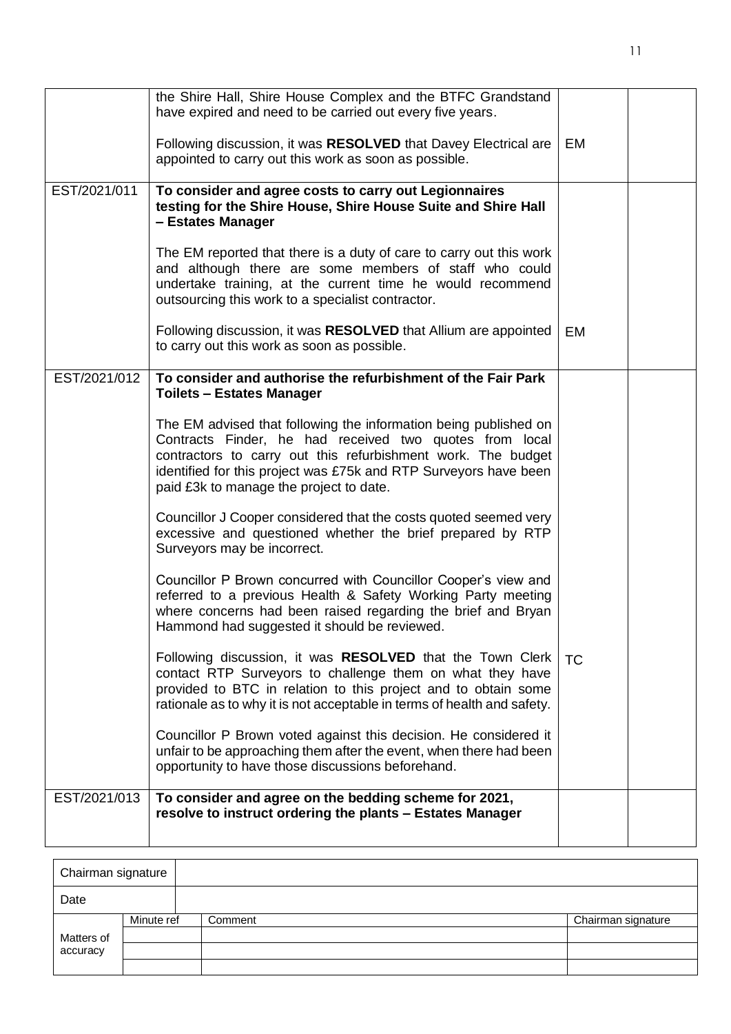|              | the Shire Hall, Shire House Complex and the BTFC Grandstand<br>have expired and need to be carried out every five years.                                                                                                                                                                                   |           |  |
|--------------|------------------------------------------------------------------------------------------------------------------------------------------------------------------------------------------------------------------------------------------------------------------------------------------------------------|-----------|--|
|              | Following discussion, it was RESOLVED that Davey Electrical are<br>appointed to carry out this work as soon as possible.                                                                                                                                                                                   | EM        |  |
| EST/2021/011 | To consider and agree costs to carry out Legionnaires<br>testing for the Shire House, Shire House Suite and Shire Hall<br>- Estates Manager                                                                                                                                                                |           |  |
|              | The EM reported that there is a duty of care to carry out this work<br>and although there are some members of staff who could<br>undertake training, at the current time he would recommend<br>outsourcing this work to a specialist contractor.                                                           |           |  |
|              | Following discussion, it was RESOLVED that Allium are appointed<br>to carry out this work as soon as possible.                                                                                                                                                                                             | EM        |  |
| EST/2021/012 | To consider and authorise the refurbishment of the Fair Park<br><b>Toilets - Estates Manager</b>                                                                                                                                                                                                           |           |  |
|              | The EM advised that following the information being published on<br>Contracts Finder, he had received two quotes from local<br>contractors to carry out this refurbishment work. The budget<br>identified for this project was £75k and RTP Surveyors have been<br>paid £3k to manage the project to date. |           |  |
|              | Councillor J Cooper considered that the costs quoted seemed very<br>excessive and questioned whether the brief prepared by RTP<br>Surveyors may be incorrect.                                                                                                                                              |           |  |
|              | Councillor P Brown concurred with Councillor Cooper's view and<br>referred to a previous Health & Safety Working Party meeting<br>where concerns had been raised regarding the brief and Bryan<br>Hammond had suggested it should be reviewed.                                                             |           |  |
|              | Following discussion, it was RESOLVED that the Town Clerk<br>contact RTP Surveyors to challenge them on what they have<br>provided to BTC in relation to this project and to obtain some<br>rationale as to why it is not acceptable in terms of health and safety.                                        | <b>TC</b> |  |
|              | Councillor P Brown voted against this decision. He considered it<br>unfair to be approaching them after the event, when there had been<br>opportunity to have those discussions beforehand.                                                                                                                |           |  |
| EST/2021/013 | To consider and agree on the bedding scheme for 2021,<br>resolve to instruct ordering the plants - Estates Manager                                                                                                                                                                                         |           |  |
|              |                                                                                                                                                                                                                                                                                                            |           |  |

| Chairman signature |            |         |                    |
|--------------------|------------|---------|--------------------|
| Date               |            |         |                    |
|                    | Minute ref | Comment | Chairman signature |
| Matters of         |            |         |                    |
| accuracy           |            |         |                    |
|                    |            |         |                    |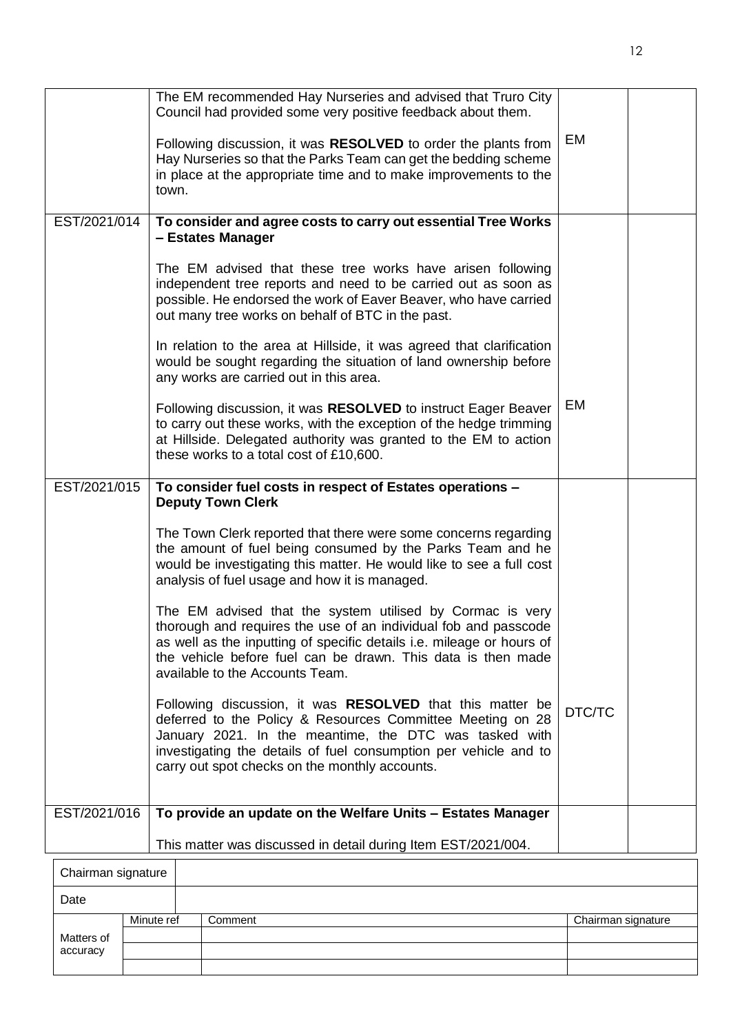|                    | The EM recommended Hay Nurseries and advised that Truro City<br>Council had provided some very positive feedback about them.                                                                                                                                                                                   |        |  |
|--------------------|----------------------------------------------------------------------------------------------------------------------------------------------------------------------------------------------------------------------------------------------------------------------------------------------------------------|--------|--|
|                    | Following discussion, it was RESOLVED to order the plants from<br>Hay Nurseries so that the Parks Team can get the bedding scheme<br>in place at the appropriate time and to make improvements to the<br>town.                                                                                                 | EM     |  |
| EST/2021/014       | To consider and agree costs to carry out essential Tree Works<br>- Estates Manager                                                                                                                                                                                                                             |        |  |
|                    | The EM advised that these tree works have arisen following<br>independent tree reports and need to be carried out as soon as<br>possible. He endorsed the work of Eaver Beaver, who have carried<br>out many tree works on behalf of BTC in the past.                                                          |        |  |
|                    | In relation to the area at Hillside, it was agreed that clarification<br>would be sought regarding the situation of land ownership before<br>any works are carried out in this area.                                                                                                                           |        |  |
|                    | Following discussion, it was RESOLVED to instruct Eager Beaver<br>to carry out these works, with the exception of the hedge trimming<br>at Hillside. Delegated authority was granted to the EM to action<br>these works to a total cost of £10,600.                                                            | EM     |  |
| EST/2021/015       | To consider fuel costs in respect of Estates operations -<br><b>Deputy Town Clerk</b>                                                                                                                                                                                                                          |        |  |
|                    | The Town Clerk reported that there were some concerns regarding<br>the amount of fuel being consumed by the Parks Team and he<br>would be investigating this matter. He would like to see a full cost<br>analysis of fuel usage and how it is managed.                                                         |        |  |
|                    | The EM advised that the system utilised by Cormac is very<br>thorough and requires the use of an individual fob and passcode<br>as well as the inputting of specific details i.e. mileage or hours of<br>the vehicle before fuel can be drawn. This data is then made<br>available to the Accounts Team.       |        |  |
|                    | Following discussion, it was <b>RESOLVED</b> that this matter be<br>deferred to the Policy & Resources Committee Meeting on 28<br>January 2021. In the meantime, the DTC was tasked with<br>investigating the details of fuel consumption per vehicle and to<br>carry out spot checks on the monthly accounts. | DTC/TC |  |
| EST/2021/016       | To provide an update on the Welfare Units - Estates Manager                                                                                                                                                                                                                                                    |        |  |
|                    | This matter was discussed in detail during Item EST/2021/004.                                                                                                                                                                                                                                                  |        |  |
| Chairman signature |                                                                                                                                                                                                                                                                                                                |        |  |

| Chairman signature |            |         |                    |
|--------------------|------------|---------|--------------------|
| Date               |            |         |                    |
|                    | Minute ref | Comment | Chairman signature |
| Matters of         |            |         |                    |
| accuracy           |            |         |                    |
|                    |            |         |                    |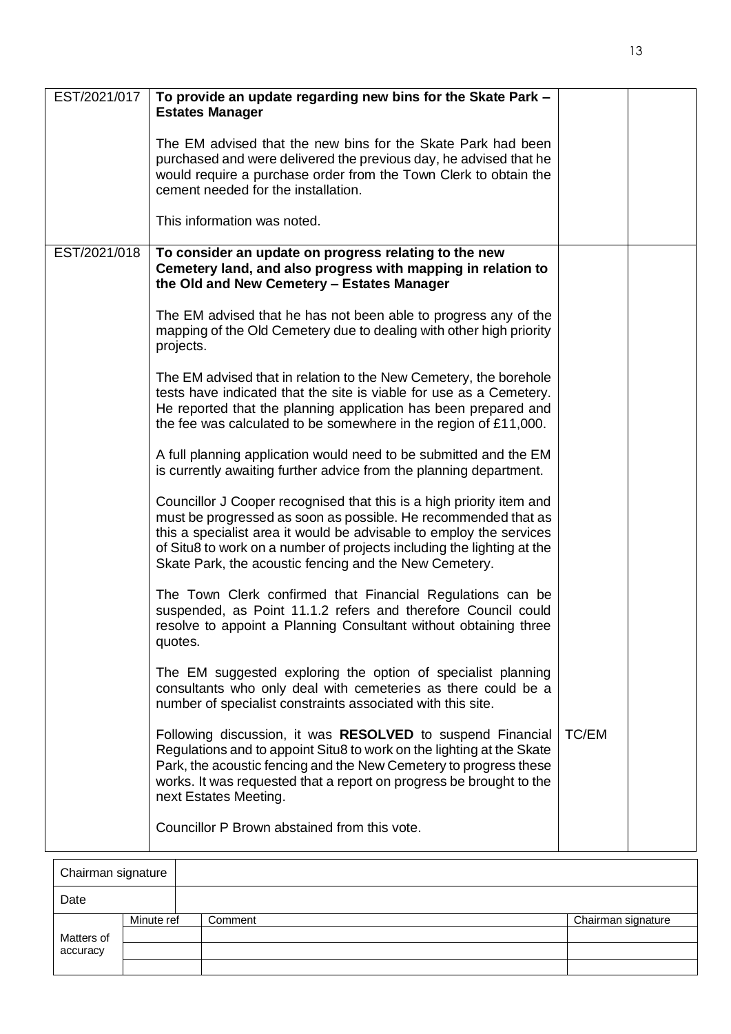| EST/2021/017 | To provide an update regarding new bins for the Skate Park -<br><b>Estates Manager</b>                                                                                                                                                                                                                                                            |       |  |
|--------------|---------------------------------------------------------------------------------------------------------------------------------------------------------------------------------------------------------------------------------------------------------------------------------------------------------------------------------------------------|-------|--|
|              | The EM advised that the new bins for the Skate Park had been<br>purchased and were delivered the previous day, he advised that he<br>would require a purchase order from the Town Clerk to obtain the<br>cement needed for the installation.                                                                                                      |       |  |
|              | This information was noted.                                                                                                                                                                                                                                                                                                                       |       |  |
| EST/2021/018 | To consider an update on progress relating to the new<br>Cemetery land, and also progress with mapping in relation to<br>the Old and New Cemetery - Estates Manager                                                                                                                                                                               |       |  |
|              | The EM advised that he has not been able to progress any of the<br>mapping of the Old Cemetery due to dealing with other high priority<br>projects.                                                                                                                                                                                               |       |  |
|              | The EM advised that in relation to the New Cemetery, the borehole<br>tests have indicated that the site is viable for use as a Cemetery.<br>He reported that the planning application has been prepared and<br>the fee was calculated to be somewhere in the region of £11,000.                                                                   |       |  |
|              | A full planning application would need to be submitted and the EM<br>is currently awaiting further advice from the planning department.                                                                                                                                                                                                           |       |  |
|              | Councillor J Cooper recognised that this is a high priority item and<br>must be progressed as soon as possible. He recommended that as<br>this a specialist area it would be advisable to employ the services<br>of Situ8 to work on a number of projects including the lighting at the<br>Skate Park, the acoustic fencing and the New Cemetery. |       |  |
|              | The Town Clerk confirmed that Financial Regulations can be<br>suspended, as Point 11.1.2 refers and therefore Council could<br>resolve to appoint a Planning Consultant without obtaining three<br>quotes.                                                                                                                                        |       |  |
|              | The EM suggested exploring the option of specialist planning<br>consultants who only deal with cemeteries as there could be a<br>number of specialist constraints associated with this site.                                                                                                                                                      |       |  |
|              | Following discussion, it was RESOLVED to suspend Financial<br>Regulations and to appoint Situ8 to work on the lighting at the Skate<br>Park, the acoustic fencing and the New Cemetery to progress these<br>works. It was requested that a report on progress be brought to the<br>next Estates Meeting.                                          | TC/EM |  |
|              | Councillor P Brown abstained from this vote.                                                                                                                                                                                                                                                                                                      |       |  |
|              |                                                                                                                                                                                                                                                                                                                                                   |       |  |

| Chairman signature |            |         |                    |
|--------------------|------------|---------|--------------------|
| Date               |            |         |                    |
| Matters of         | Minute ref | Comment | Chairman signature |
|                    |            |         |                    |
| accuracy           |            |         |                    |
|                    |            |         |                    |